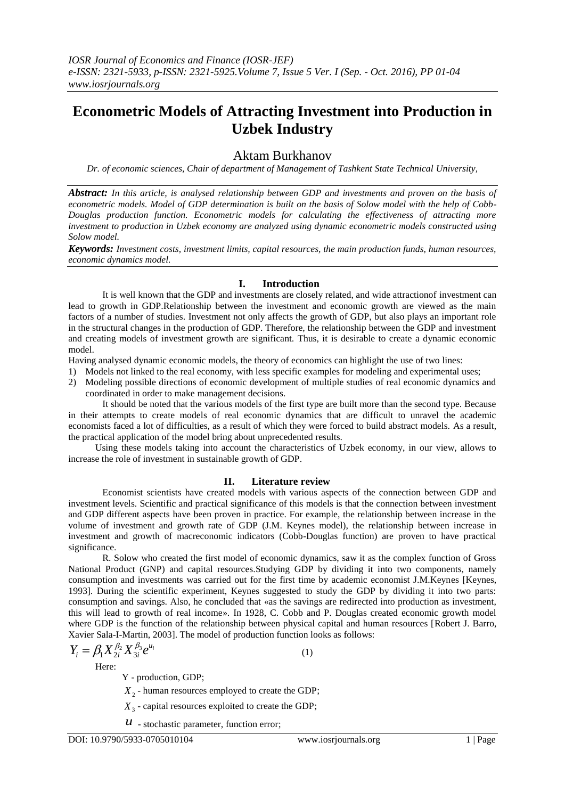# **Econometric Models of Attracting Investment into Production in Uzbek Industry**

# Aktam Burkhanov

*Dr. of economic sciences, Chair of department of Management of Tashkent State Technical University,*

*Abstract: In this article, is analysed relationship between GDP and investments and proven on the basis of*  econometric models. Model of GDP determination is built on the basis of Solow model with the help of Cobb-*Douglas production function. Econometric models for calculating the effectiveness of attracting more investment to production in Uzbek economy are analyzed using dynamic econometric models constructed using Solow model.* 

*Keywords: Investment costs, investment limits, capital resources, the main production funds, human resources, economic dynamics model.*

# **I. Introduction**

It is well known that the GDP and investments are closely related, and wide attractionof investment can lead to growth in GDP.Relationship between the investment and economic growth are viewed as the main factors of a number of studies. Investment not only affects the growth of GDP, but also plays an important role in the structural changes in the production of GDP. Therefore, the relationship between the GDP and investment and creating models of investment growth are significant. Thus, it is desirable to create a dynamic economic model.

Having analysed dynamic economic models, the theory of economics can highlight the use of two lines:

- 1) Models not linked to the real economy, with less specific examples for modeling and experimental uses;
- 2) Modeling possible directions of economic development of multiple studies of real economic dynamics and coordinated in order to make management decisions.

It should be noted that the various models of the first type are built more than the second type. Because in their attempts to create models of real economic dynamics that are difficult to unravel the academic economists faced a lot of difficulties, as a result of which they were forced to build abstract models. As a result, the practical application of the model bring about unprecedented results.

Using these models taking into account the characteristics of Uzbek economy, in our view, allows to increase the role of investment in sustainable growth of GDP.

# **II. Literature review**

Economist scientists have created models with various aspects of the connection between GDP and investment levels. Scientific and practical significance of this models is that the connection between investment and GDP different aspects have been proven in practice. For example, the relationship between increase in the volume of investment and growth rate of GDP (J.M. Keynes model), the relationship between increase in investment and growth of macreconomic indicators (Cobb-Douglas function) are proven to have practical significance.

R. Solow who created the first model of economic dynamics, saw it as the complex function of Gross National Product (GNP) and capital resources.Studying GDP by dividing it into two components, namely consumption and investments was carried out for the first time by academic economist J.M.Keynes [Keynes, 1993]. During the scientific experiment, Keynes suggested to study the GDP by dividing it into two parts: consumption and savings. Also, he concluded that «as the savings are redirected into production as investment, this will lead to growth of real income». In 1928, C. Cobb and P. Douglas created economic growth model where GDP is the function of the relationship between physical capital and human resources [Robert J. Barro, Xavier Sala-I-Martin, 2003]. The model of production function looks as follows:

$$
Y_i = \beta_1 X_{2i}^{\beta_2} X_{3i}^{\beta_3} e^{u_i}
$$
 (1)

Here:

Y - production, GDP;

X<sub>2</sub> - human resources employed to create the GDP;

*X*3 - capital resources exploited to create the GDP;

 *- stochastic parameter, function error;*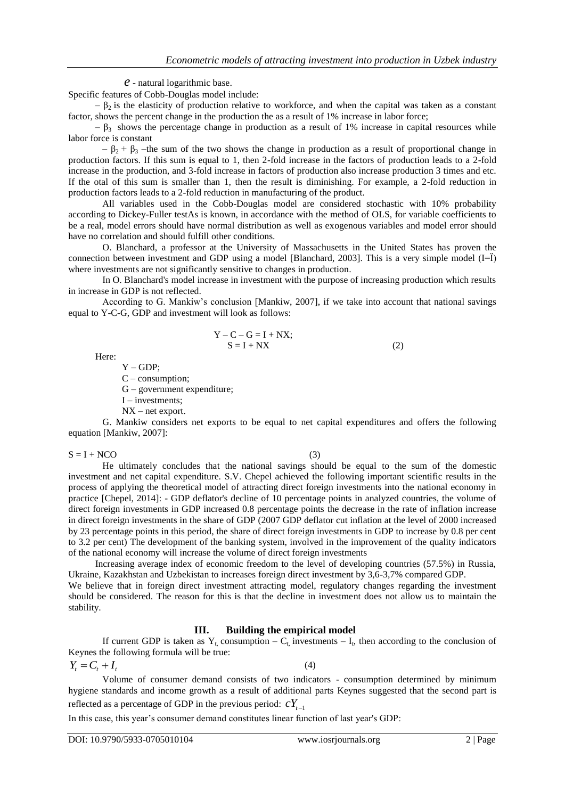*e* - natural logarithmic base.

Specific features of Cobb-Douglas model include:

 $-\beta_2$  is the elasticity of production relative to workforce, and when the capital was taken as a constant factor, shows the percent change in the production the as a result of 1% increase in labor force;

 $- \beta_3$  shows the percentage change in production as a result of 1% increase in capital resources while labor force is constant

 $- \beta_2 + \beta_3$  –the sum of the two shows the change in production as a result of proportional change in production factors. If this sum is equal to 1, then 2-fold increase in the factors of production leads to a 2-fold increase in the production, and 3-fold increase in factors of production also increase production 3 times and etc. If the otal of this sum is smaller than 1, then the result is diminishing. For example, a 2-fold reduction in production factors leads to a 2-fold reduction in manufacturing of the product.

All variables used in the Cobb-Douglas model are considered stochastic with 10% probability according to Dickey-Fuller testAs is known, in accordance with the method of OLS, for variable coefficients to be a real, model errors should have normal distribution as well as exogenous variables and model error should have no correlation and should fulfill other conditions.

O. Blanchard, a professor at the University of Massachusetts in the United States has proven the connection between investment and GDP using a model [Blanchard, 2003]. This is a very simple model (I=Ї) where investments are not significantly sensitive to changes in production.

In O. Blanchard's model increase in investment with the purpose of increasing production which results in increase in GDP is not reflected.

According to G. Mankiw's conclusion [Mankiw, 2007], if we take into account that national savings equal to Y-C-G, GDP and investment will look as follows:

$$
Y - C - G = I + NX;
$$
  
\n
$$
S = I + NX
$$
 (2)

Here:

 $Y - GDP;$ 

C – consumption;

G – government expenditure;

I – investments;

NX – net export.

G. Mankiw considers net exports to be equal to net capital expenditures and offers the following equation [Mankiw, 2007]:

 $S = I + NCO$  (3)

He ultimately concludes that the national savings should be equal to the sum of the domestic investment and net capital expenditure. S.V. Chepel achieved the following important scientific results in the process of applying the theoretical model of attracting direct foreign investments into the national economy in practice [Chepel, 2014]: - GDP deflator's decline of 10 percentage points in analyzed countries, the volume of direct foreign investments in GDP increased 0.8 percentage points the decrease in the rate of inflation increase in direct foreign investments in the share of GDP (2007 GDP deflator cut inflation at the level of 2000 increased by 23 percentage points in this period, the share of direct foreign investments in GDP to increase by 0.8 per cent to 3.2 per cent) The development of the banking system, involved in the improvement of the quality indicators of the national economy will increase the volume of direct foreign investments

Increasing average index of economic freedom to the level of developing countries (57.5%) in Russia, Ukraine, Kazakhstan and Uzbekistan to increases foreign direct investment by 3,6-3,7% compared GDP. We believe that in foreign direct investment attracting model, regulatory changes regarding the investment should be considered. The reason for this is that the decline in investment does not allow us to maintain the stability.

# **III. Building the empirical model**

If current GDP is taken as  $Y_t$ , consumption  $-C_t$ , investments  $-I_t$ , then according to the conclusion of Keynes the following formula will be true:

$$
Y_t = C_t + I_t \tag{4}
$$

Volume of consumer demand consists of two indicators - consumption determined by minimum hygiene standards and income growth as a result of additional parts Keynes suggested that the second part is reflected as a percentage of GDP in the previous period:  $cY_{t-1}$ 

In this case, this year's consumer demand constitutes linear function of last year's GDP: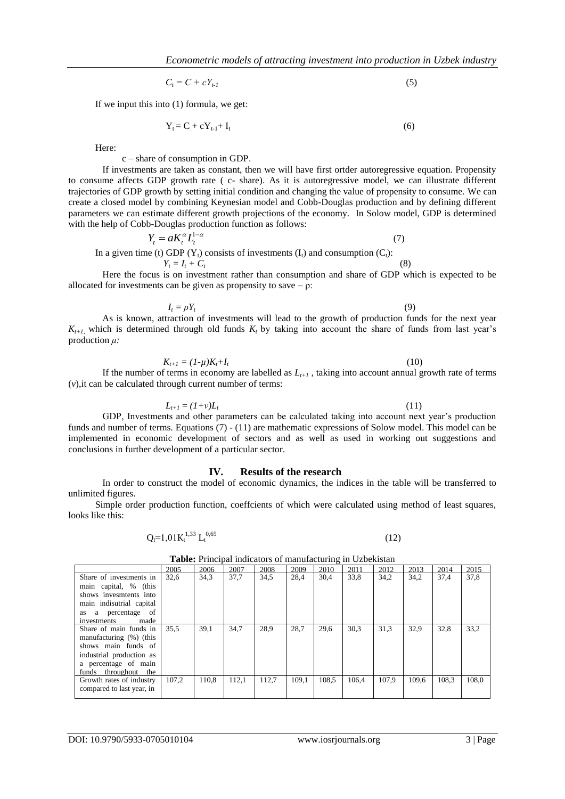$$
C_t = C + cY_{t-1} \tag{5}
$$

If we input this into (1) formula, we get:

$$
Y_t = C + cY_{t-1} + I_t \tag{6}
$$

Here:

#### c – share of consumption in GDP.

If investments are taken as constant, then we will have first ortder autoregressive equation. Propensity to consume affects GDP growth rate ( c- share). As it is autoregressive model, we can illustrate different trajectories of GDP growth by setting initial condition and changing the value of propensity to consume. We can create a closed model by combining Keynesian model and Cobb-Douglas production and by defining different parameters we can estimate different growth projections of the economy. In Solow model, GDP is determined with the help of Cobb-Douglas production function as follows:

 $Y_t = aK_t^{\alpha}L_t^{1-\alpha}$  (7) In a given time (t) GDP ( $Y_t$ ) consists of investments ( $I_t$ ) and consumption ( $C_t$ ):  $Y_t = I_t + C_t$ (8)

Here the focus is on investment rather than consumption and share of GDP which is expected to be allocated for investments can be given as propensity to save  $-\rho$ :

$$
I_t = \rho Y_t
$$
\nAs is known, attraction of investments will lead to the growth of production funds for the next year

\n $K_{t+1}$ , which is determined through old funds  $K_t$  by taking into account the share of funds from last year's production  $\mu$ :

$$
K_{t+1} = (1 - \mu)K_t + I_t \tag{10}
$$

If the number of terms in economy are labelled as  $L_{t+1}$ , taking into account annual growth rate of terms (*v*),it can be calculated through current number of terms:

$$
L_{t+1} = (1+\nu)L_t \tag{11}
$$

GDP, Investments and other parameters can be calculated taking into account next year's production funds and number of terms. Equations (7) - (11) are mathematic expressions of Solow model. This model can be implemented in economic development of sectors and as well as used in working out suggestions and conclusions in further development of a particular sector.

### **IV. Results of the research**

In order to construct the model of economic dynamics, the indices in the table will be transferred to unlimited figures.

Simple order production function, coeffcients of which were calculated using method of least squares, looks like this:

$$
Q_{t} = 1,01K_{t}^{1,33} L_{t}^{0,65}
$$
 (12)

| $\frac{1}{2}$ . The contract of $\frac{1}{2}$ and $\frac{1}{2}$ |       |       |       |       |       |       |       |       |       |       |       |
|-----------------------------------------------------------------|-------|-------|-------|-------|-------|-------|-------|-------|-------|-------|-------|
|                                                                 | 2005  | 2006  | 2007  | 2008  | 2009  | 2010  | 2011  | 2012  | 2013  | 2014  | 2015  |
| Share of investments in                                         | 32,6  | 34,3  | 37,7  | 34,5  | 28,4  | 30.4  | 33,8  | 34,2  | 34,2  | 37,4  | 37,8  |
| main capital, % (this                                           |       |       |       |       |       |       |       |       |       |       |       |
| shows invesments into                                           |       |       |       |       |       |       |       |       |       |       |       |
| main indisutrial capital                                        |       |       |       |       |       |       |       |       |       |       |       |
| as a percentage of                                              |       |       |       |       |       |       |       |       |       |       |       |
| investments<br>made                                             |       |       |       |       |       |       |       |       |       |       |       |
| Share of main funds in                                          | 35.5  | 39,1  | 34.7  | 28.9  | 28.7  | 29.6  | 30,3  | 31,3  | 32.9  | 32,8  | 33,2  |
| manufacturing (%) (this                                         |       |       |       |       |       |       |       |       |       |       |       |
| shows main funds of                                             |       |       |       |       |       |       |       |       |       |       |       |
| industrial production as                                        |       |       |       |       |       |       |       |       |       |       |       |
| a percentage of main                                            |       |       |       |       |       |       |       |       |       |       |       |
| funds throughout the                                            |       |       |       |       |       |       |       |       |       |       |       |
| Growth rates of industry                                        | 107.2 | 110.8 | 112.1 | 112.7 | 109.1 | 108.5 | 106.4 | 107.9 | 109.6 | 108.3 | 108.0 |
| compared to last year, in                                       |       |       |       |       |       |       |       |       |       |       |       |
|                                                                 |       |       |       |       |       |       |       |       |       |       |       |

**Table:** Principal indicators of manufacturing in Uzbekistan